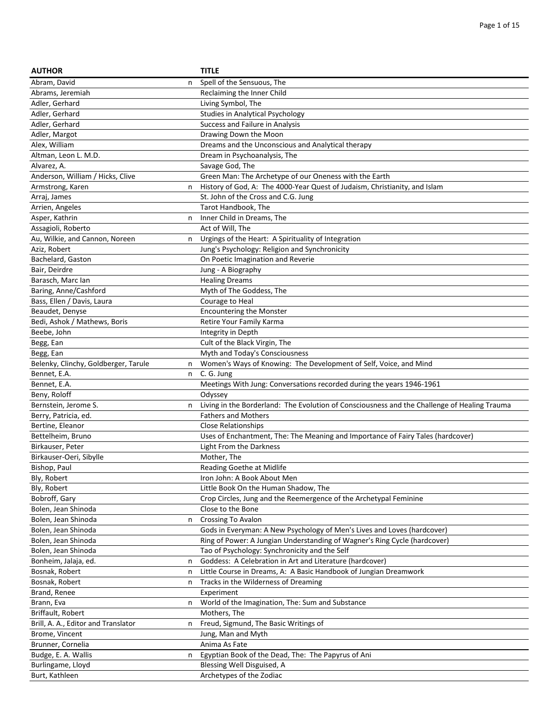| <b>AUTHOR</b>                        |   | <b>TITLE</b>                                                                                 |
|--------------------------------------|---|----------------------------------------------------------------------------------------------|
| Abram, David                         | n | Spell of the Sensuous, The                                                                   |
| Abrams, Jeremiah                     |   | Reclaiming the Inner Child                                                                   |
| Adler, Gerhard                       |   | Living Symbol, The                                                                           |
| Adler, Gerhard                       |   | <b>Studies in Analytical Psychology</b>                                                      |
| Adler, Gerhard                       |   | Success and Failure in Analysis                                                              |
| Adler, Margot                        |   | Drawing Down the Moon                                                                        |
| Alex, William                        |   | Dreams and the Unconscious and Analytical therapy                                            |
| Altman, Leon L. M.D.                 |   | Dream in Psychoanalysis, The                                                                 |
| Alvarez, A.                          |   | Savage God, The                                                                              |
| Anderson, William / Hicks, Clive     |   | Green Man: The Archetype of our Oneness with the Earth                                       |
| Armstrong, Karen                     | n | History of God, A: The 4000-Year Quest of Judaism, Christianity, and Islam                   |
|                                      |   | St. John of the Cross and C.G. Jung                                                          |
| Arraj, James                         |   |                                                                                              |
| Arrien, Angeles                      |   | Tarot Handbook, The                                                                          |
| Asper, Kathrin                       | n | Inner Child in Dreams, The                                                                   |
| Assagioli, Roberto                   |   | Act of Will, The                                                                             |
| Au, Wilkie, and Cannon, Noreen       | n | Urgings of the Heart: A Spirituality of Integration                                          |
| Aziz, Robert                         |   | Jung's Psychology: Religion and Synchronicity                                                |
| Bachelard, Gaston                    |   | On Poetic Imagination and Reverie                                                            |
| Bair, Deirdre                        |   | Jung - A Biography                                                                           |
| Barasch, Marc Ian                    |   | <b>Healing Dreams</b>                                                                        |
| Baring, Anne/Cashford                |   | Myth of The Goddess, The                                                                     |
| Bass, Ellen / Davis, Laura           |   | Courage to Heal                                                                              |
| Beaudet, Denyse                      |   | <b>Encountering the Monster</b>                                                              |
| Bedi, Ashok / Mathews, Boris         |   | Retire Your Family Karma                                                                     |
| Beebe, John                          |   | Integrity in Depth                                                                           |
| Begg, Ean                            |   | Cult of the Black Virgin, The                                                                |
| Begg, Ean                            |   | Myth and Today's Consciousness                                                               |
| Belenky, Clinchy, Goldberger, Tarule | n | Women's Ways of Knowing: The Development of Self, Voice, and Mind                            |
| Bennet, E.A.                         | n | C. G. Jung                                                                                   |
| Bennet, E.A.                         |   | Meetings With Jung: Conversations recorded during the years 1946-1961                        |
| Beny, Roloff                         |   | Odyssey                                                                                      |
| Bernstein, Jerome S.                 | n | Living in the Borderland: The Evolution of Consciousness and the Challenge of Healing Trauma |
| Berry, Patricia, ed.                 |   | <b>Fathers and Mothers</b>                                                                   |
| Bertine, Eleanor                     |   | <b>Close Relationships</b>                                                                   |
| Bettelheim, Bruno                    |   | Uses of Enchantment, The: The Meaning and Importance of Fairy Tales (hardcover)              |
| Birkauser, Peter                     |   | Light From the Darkness                                                                      |
| Birkauser-Oeri, Sibylle              |   | Mother, The                                                                                  |
| Bishop, Paul                         |   | Reading Goethe at Midlife                                                                    |
| Bly, Robert                          |   | Iron John: A Book About Men                                                                  |
| Bly, Robert                          |   | Little Book On the Human Shadow, The                                                         |
| Bobroff, Gary                        |   | Crop Circles, Jung and the Reemergence of the Archetypal Feminine                            |
| Bolen, Jean Shinoda                  |   | Close to the Bone                                                                            |
| Bolen, Jean Shinoda                  | n | <b>Crossing To Avalon</b>                                                                    |
| Bolen, Jean Shinoda                  |   | Gods in Everyman: A New Psychology of Men's Lives and Loves (hardcover)                      |
| Bolen, Jean Shinoda                  |   | Ring of Power: A Jungian Understanding of Wagner's Ring Cycle (hardcover)                    |
| Bolen, Jean Shinoda                  |   | Tao of Psychology: Synchronicity and the Self                                                |
| Bonheim, Jalaja, ed.                 | n | Goddess: A Celebration in Art and Literature (hardcover)                                     |
| Bosnak, Robert                       | n | Little Course in Dreams, A: A Basic Handbook of Jungian Dreamwork                            |
| Bosnak, Robert                       | n | Tracks in the Wilderness of Dreaming                                                         |
| Brand, Renee                         |   | Experiment                                                                                   |
| Brann, Eva                           | n | World of the Imagination, The: Sum and Substance                                             |
| Briffault, Robert                    |   | Mothers, The                                                                                 |
| Brill, A. A., Editor and Translator  | n | Freud, Sigmund, The Basic Writings of                                                        |
| Brome, Vincent                       |   | Jung, Man and Myth                                                                           |
| Brunner, Cornelia                    |   | Anima As Fate                                                                                |
| Budge, E. A. Wallis                  |   | Egyptian Book of the Dead, The: The Papyrus of Ani                                           |
| Burlingame, Lloyd                    | n |                                                                                              |
|                                      |   | Blessing Well Disguised, A                                                                   |
| Burt, Kathleen                       |   | Archetypes of the Zodiac                                                                     |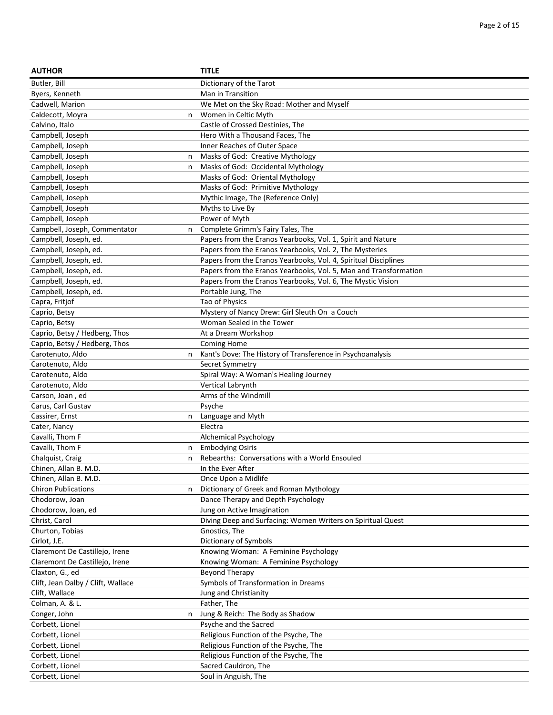| <b>AUTHOR</b>                      | <b>TITLE</b>                                                     |
|------------------------------------|------------------------------------------------------------------|
| Butler, Bill                       | Dictionary of the Tarot                                          |
| Byers, Kenneth                     | Man in Transition                                                |
| Cadwell, Marion                    | We Met on the Sky Road: Mother and Myself                        |
| Caldecott, Moyra<br>n              | Women in Celtic Myth                                             |
| Calvino, Italo                     | Castle of Crossed Destinies, The                                 |
| Campbell, Joseph                   | Hero With a Thousand Faces, The                                  |
| Campbell, Joseph                   | Inner Reaches of Outer Space                                     |
| Campbell, Joseph<br>n              | Masks of God: Creative Mythology                                 |
| Campbell, Joseph<br>n              | Masks of God: Occidental Mythology                               |
| Campbell, Joseph                   | Masks of God: Oriental Mythology                                 |
| Campbell, Joseph                   | Masks of God: Primitive Mythology                                |
| Campbell, Joseph                   | Mythic Image, The (Reference Only)                               |
| Campbell, Joseph                   | Myths to Live By                                                 |
| Campbell, Joseph                   | Power of Myth                                                    |
| Campbell, Joseph, Commentator<br>n | Complete Grimm's Fairy Tales, The                                |
| Campbell, Joseph, ed.              | Papers from the Eranos Yearbooks, Vol. 1, Spirit and Nature      |
| Campbell, Joseph, ed.              | Papers from the Eranos Yearbooks, Vol. 2, The Mysteries          |
| Campbell, Joseph, ed.              | Papers from the Eranos Yearbooks, Vol. 4, Spiritual Disciplines  |
| Campbell, Joseph, ed.              | Papers from the Eranos Yearbooks, Vol. 5, Man and Transformation |
| Campbell, Joseph, ed.              | Papers from the Eranos Yearbooks, Vol. 6, The Mystic Vision      |
| Campbell, Joseph, ed.              | Portable Jung, The                                               |
| Capra, Fritjof                     | Tao of Physics                                                   |
| Caprio, Betsy                      | Mystery of Nancy Drew: Girl Sleuth On a Couch                    |
| Caprio, Betsy                      | Woman Sealed in the Tower                                        |
| Caprio, Betsy / Hedberg, Thos      | At a Dream Workshop                                              |
| Caprio, Betsy / Hedberg, Thos      | Coming Home                                                      |
| Carotenuto, Aldo<br>n              | Kant's Dove: The History of Transference in Psychoanalysis       |
| Carotenuto, Aldo                   | Secret Symmetry                                                  |
| Carotenuto, Aldo                   | Spiral Way: A Woman's Healing Journey                            |
| Carotenuto, Aldo                   | Vertical Labrynth                                                |
| Carson, Joan, ed                   | Arms of the Windmill                                             |
| Carus, Carl Gustav                 | Psyche                                                           |
| Cassirer, Ernst<br>n               | Language and Myth                                                |
| Cater, Nancy                       | Electra                                                          |
| Cavalli, Thom F                    | Alchemical Psychology                                            |
| Cavalli, Thom F<br>n               | <b>Embodying Osiris</b>                                          |
| Chalquist, Craig<br>n              | Rebearths: Conversations with a World Ensouled                   |
| Chinen, Allan B. M.D.              | In the Ever After                                                |
| Chinen, Allan B. M.D.              | Once Upon a Midlife                                              |
| <b>Chiron Publications</b><br>n    | Dictionary of Greek and Roman Mythology                          |
| Chodorow, Joan                     | Dance Therapy and Depth Psychology                               |
| Chodorow, Joan, ed                 | Jung on Active Imagination                                       |
| Christ, Carol                      | Diving Deep and Surfacing: Women Writers on Spiritual Quest      |
| Churton, Tobias                    | Gnostics, The                                                    |
| Cirlot, J.E.                       | Dictionary of Symbols                                            |
| Claremont De Castillejo, Irene     | Knowing Woman: A Feminine Psychology                             |
| Claremont De Castillejo, Irene     | Knowing Woman: A Feminine Psychology                             |
| Claxton, G., ed                    | <b>Beyond Therapy</b>                                            |
| Clift, Jean Dalby / Clift, Wallace | Symbols of Transformation in Dreams                              |
| Clift, Wallace                     | Jung and Christianity                                            |
| Colman, A. & L.                    | Father, The                                                      |
| Conger, John<br>n                  | Jung & Reich: The Body as Shadow                                 |
| Corbett, Lionel                    | Psyche and the Sacred                                            |
| Corbett, Lionel                    | Religious Function of the Psyche, The                            |
| Corbett, Lionel                    | Religious Function of the Psyche, The                            |
| Corbett, Lionel                    | Religious Function of the Psyche, The                            |
| Corbett, Lionel                    | Sacred Cauldron, The                                             |
| Corbett, Lionel                    | Soul in Anguish, The                                             |
|                                    |                                                                  |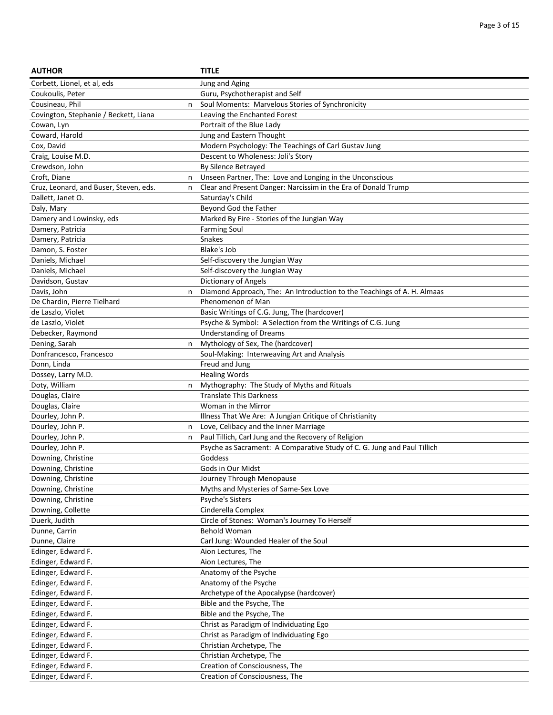| <b>AUTHOR</b>                          |   | <b>TITLE</b>                                                            |
|----------------------------------------|---|-------------------------------------------------------------------------|
| Corbett, Lionel, et al, eds            |   | Jung and Aging                                                          |
| Coukoulis, Peter                       |   | Guru, Psychotherapist and Self                                          |
| Cousineau, Phil                        | n | Soul Moments: Marvelous Stories of Synchronicity                        |
| Covington, Stephanie / Beckett, Liana  |   | Leaving the Enchanted Forest                                            |
| Cowan, Lyn                             |   | Portrait of the Blue Lady                                               |
| Coward, Harold                         |   | Jung and Eastern Thought                                                |
| Cox, David                             |   | Modern Psychology: The Teachings of Carl Gustav Jung                    |
| Craig, Louise M.D.                     |   | Descent to Wholeness: Joli's Story                                      |
| Crewdson, John                         |   | By Silence Betrayed                                                     |
| Croft, Diane                           | n | Unseen Partner, The: Love and Longing in the Unconscious                |
| Cruz, Leonard, and Buser, Steven, eds. | n | Clear and Present Danger: Narcissim in the Era of Donald Trump          |
| Dallett, Janet O.                      |   | Saturday's Child                                                        |
| Daly, Mary                             |   | Beyond God the Father                                                   |
| Damery and Lowinsky, eds               |   | Marked By Fire - Stories of the Jungian Way                             |
| Damery, Patricia                       |   | <b>Farming Soul</b>                                                     |
| Damery, Patricia                       |   | Snakes                                                                  |
| Damon, S. Foster                       |   | Blake's Job                                                             |
| Daniels, Michael                       |   | Self-discovery the Jungian Way                                          |
| Daniels, Michael                       |   | Self-discovery the Jungian Way                                          |
| Davidson, Gustav                       |   | Dictionary of Angels                                                    |
| Davis, John                            | n | Diamond Approach, The: An Introduction to the Teachings of A. H. Almaas |
| De Chardin, Pierre Tielhard            |   | Phenomenon of Man                                                       |
| de Laszlo, Violet                      |   | Basic Writings of C.G. Jung, The (hardcover)                            |
| de Laszlo, Violet                      |   | Psyche & Symbol: A Selection from the Writings of C.G. Jung             |
| Debecker, Raymond                      |   | <b>Understanding of Dreams</b>                                          |
| Dening, Sarah                          | n | Mythology of Sex, The (hardcover)                                       |
| Donfrancesco, Francesco                |   | Soul-Making: Interweaving Art and Analysis                              |
| Donn, Linda                            |   | Freud and Jung                                                          |
| Dossey, Larry M.D.                     |   | <b>Healing Words</b>                                                    |
| Doty, William                          | n | Mythography: The Study of Myths and Rituals                             |
| Douglas, Claire                        |   | <b>Translate This Darkness</b>                                          |
| Douglas, Claire                        |   | Woman in the Mirror                                                     |
| Dourley, John P.                       |   | Illness That We Are: A Jungian Critique of Christianity                 |
| Dourley, John P.                       | n | Love, Celibacy and the Inner Marriage                                   |
| Dourley, John P.                       | n | Paul Tillich, Carl Jung and the Recovery of Religion                    |
| Dourley, John P.                       |   | Psyche as Sacrament: A Comparative Study of C. G. Jung and Paul Tillich |
| Downing, Christine                     |   | Goddess                                                                 |
| Downing, Christine                     |   | Gods in Our Midst                                                       |
| Downing, Christine                     |   | Journey Through Menopause                                               |
| Downing, Christine                     |   | Myths and Mysteries of Same-Sex Love                                    |
| Downing, Christine                     |   | Psyche's Sisters                                                        |
| Downing, Collette                      |   | Cinderella Complex                                                      |
| Duerk, Judith                          |   | Circle of Stones: Woman's Journey To Herself                            |
| Dunne, Carrin                          |   | <b>Behold Woman</b>                                                     |
| Dunne, Claire                          |   | Carl Jung: Wounded Healer of the Soul                                   |
| Edinger, Edward F.                     |   | Aion Lectures, The                                                      |
| Edinger, Edward F.                     |   | Aion Lectures, The                                                      |
| Edinger, Edward F.                     |   | Anatomy of the Psyche                                                   |
| Edinger, Edward F.                     |   | Anatomy of the Psyche                                                   |
| Edinger, Edward F.                     |   | Archetype of the Apocalypse (hardcover)                                 |
| Edinger, Edward F.                     |   | Bible and the Psyche, The                                               |
| Edinger, Edward F.                     |   | Bible and the Psyche, The                                               |
| Edinger, Edward F.                     |   | Christ as Paradigm of Individuating Ego                                 |
| Edinger, Edward F.                     |   | Christ as Paradigm of Individuating Ego                                 |
| Edinger, Edward F.                     |   | Christian Archetype, The                                                |
| Edinger, Edward F.                     |   | Christian Archetype, The                                                |
| Edinger, Edward F.                     |   | Creation of Consciousness, The                                          |
| Edinger, Edward F.                     |   | Creation of Consciousness, The                                          |
|                                        |   |                                                                         |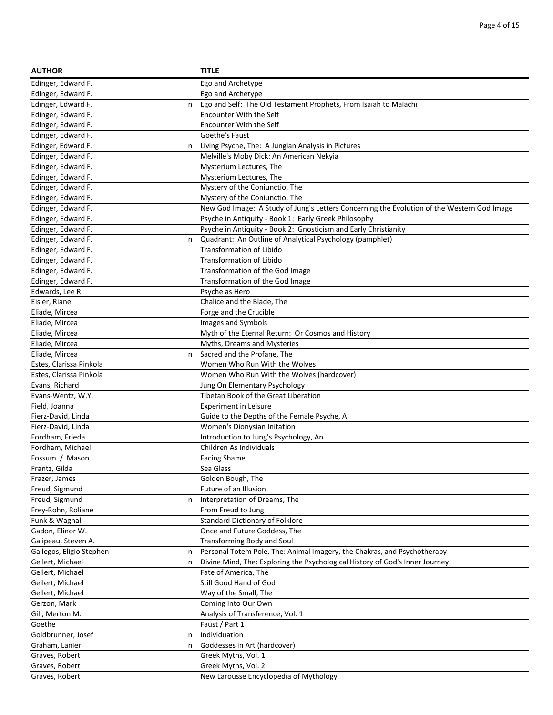| <b>AUTHOR</b>            |   | <b>TITLE</b>                                                                               |
|--------------------------|---|--------------------------------------------------------------------------------------------|
| Edinger, Edward F.       |   | Ego and Archetype                                                                          |
| Edinger, Edward F.       |   | Ego and Archetype                                                                          |
| Edinger, Edward F.       | n | Ego and Self: The Old Testament Prophets, From Isaiah to Malachi                           |
| Edinger, Edward F.       |   | <b>Encounter With the Self</b>                                                             |
| Edinger, Edward F.       |   | Encounter With the Self                                                                    |
| Edinger, Edward F.       |   | Goethe's Faust                                                                             |
| Edinger, Edward F.       | n | Living Psyche, The: A Jungian Analysis in Pictures                                         |
| Edinger, Edward F.       |   | Melville's Moby Dick: An American Nekyia                                                   |
| Edinger, Edward F.       |   | Mysterium Lectures, The                                                                    |
| Edinger, Edward F.       |   | Mysterium Lectures, The                                                                    |
| Edinger, Edward F.       |   | Mystery of the Coniunctio, The                                                             |
| Edinger, Edward F.       |   | Mystery of the Coniunctio, The                                                             |
| Edinger, Edward F.       |   | New God Image: A Study of Jung's Letters Concerning the Evolution of the Western God Image |
| Edinger, Edward F.       |   | Psyche in Antiquity - Book 1: Early Greek Philosophy                                       |
| Edinger, Edward F.       |   | Psyche in Antiquity - Book 2: Gnosticism and Early Christianity                            |
| Edinger, Edward F.       | n | Quadrant: An Outline of Analytical Psychology (pamphlet)                                   |
| Edinger, Edward F.       |   | <b>Transformation of Libido</b>                                                            |
| Edinger, Edward F.       |   | <b>Transformation of Libido</b>                                                            |
| Edinger, Edward F.       |   | Transformation of the God Image                                                            |
| Edinger, Edward F.       |   | Transformation of the God Image                                                            |
| Edwards, Lee R.          |   | Psyche as Hero                                                                             |
| Eisler, Riane            |   | Chalice and the Blade, The                                                                 |
| Eliade, Mircea           |   | Forge and the Crucible                                                                     |
| Eliade, Mircea           |   | Images and Symbols                                                                         |
| Eliade, Mircea           |   | Myth of the Eternal Return: Or Cosmos and History                                          |
| Eliade, Mircea           |   | Myths, Dreams and Mysteries                                                                |
| Eliade, Mircea           | n | Sacred and the Profane, The                                                                |
| Estes, Clarissa Pinkola  |   | Women Who Run With the Wolves                                                              |
| Estes, Clarissa Pinkola  |   | Women Who Run With the Wolves (hardcover)                                                  |
| Evans, Richard           |   | Jung On Elementary Psychology                                                              |
| Evans-Wentz, W.Y.        |   | Tibetan Book of the Great Liberation                                                       |
| Field, Joanna            |   | <b>Experiment in Leisure</b>                                                               |
| Fierz-David, Linda       |   | Guide to the Depths of the Female Psyche, A                                                |
| Fierz-David, Linda       |   | Women's Dionysian Initation                                                                |
| Fordham, Frieda          |   | Introduction to Jung's Psychology, An                                                      |
| Fordham, Michael         |   | Children As Individuals                                                                    |
| Fossum / Mason           |   | <b>Facing Shame</b>                                                                        |
| Frantz, Gilda            |   | Sea Glass                                                                                  |
| Frazer, James            |   | Golden Bough, The                                                                          |
| Freud, Sigmund           |   | Future of an Illusion                                                                      |
| Freud, Sigmund           | n | Interpretation of Dreams, The                                                              |
| Frey-Rohn, Roliane       |   | From Freud to Jung                                                                         |
| Funk & Wagnall           |   | <b>Standard Dictionary of Folklore</b>                                                     |
| Gadon, Elinor W.         |   | Once and Future Goddess, The                                                               |
| Galipeau, Steven A.      |   | <b>Transforming Body and Soul</b>                                                          |
| Gallegos, Eligio Stephen | n | Personal Totem Pole, The: Animal Imagery, the Chakras, and Psychotherapy                   |
| Gellert, Michael         | n | Divine Mind, The: Exploring the Psychological History of God's Inner Journey               |
| Gellert, Michael         |   | Fate of America, The                                                                       |
| Gellert, Michael         |   | Still Good Hand of God                                                                     |
| Gellert, Michael         |   | Way of the Small, The                                                                      |
| Gerzon, Mark             |   | Coming Into Our Own                                                                        |
| Gill, Merton M.          |   | Analysis of Transference, Vol. 1                                                           |
| Goethe                   |   | Faust / Part 1                                                                             |
| Goldbrunner, Josef       | n | Individuation                                                                              |
| Graham, Lanier           | n | Goddesses in Art (hardcover)                                                               |
| Graves, Robert           |   | Greek Myths, Vol. 1                                                                        |
| Graves, Robert           |   | Greek Myths, Vol. 2                                                                        |
| Graves, Robert           |   | New Larousse Encyclopedia of Mythology                                                     |
|                          |   |                                                                                            |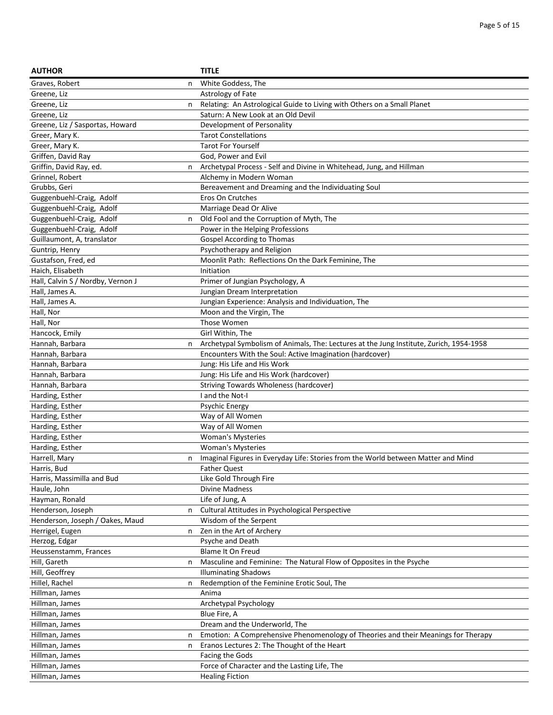| <b>AUTHOR</b>                     |   | <b>TITLE</b>                                                                            |
|-----------------------------------|---|-----------------------------------------------------------------------------------------|
| Graves, Robert                    | n | White Goddess, The                                                                      |
| Greene, Liz                       |   | Astrology of Fate                                                                       |
| Greene, Liz                       | n | Relating: An Astrological Guide to Living with Others on a Small Planet                 |
| Greene, Liz                       |   | Saturn: A New Look at an Old Devil                                                      |
| Greene, Liz / Sasportas, Howard   |   | Development of Personality                                                              |
| Greer, Mary K.                    |   | <b>Tarot Constellations</b>                                                             |
| Greer, Mary K.                    |   | <b>Tarot For Yourself</b>                                                               |
| Griffen, David Ray                |   | God, Power and Evil                                                                     |
| Griffin, David Ray, ed.           | n | Archetypal Process - Self and Divine in Whitehead, Jung, and Hillman                    |
| Grinnel, Robert                   |   | Alchemy in Modern Woman                                                                 |
| Grubbs, Geri                      |   | Bereavement and Dreaming and the Individuating Soul                                     |
| Guggenbuehl-Craig, Adolf          |   | Eros On Crutches                                                                        |
| Guggenbuehl-Craig, Adolf          |   | Marriage Dead Or Alive                                                                  |
| Guggenbuehl-Craig, Adolf          | n | Old Fool and the Corruption of Myth, The                                                |
| Guggenbuehl-Craig, Adolf          |   | Power in the Helping Professions                                                        |
| Guillaumont, A, translator        |   | Gospel According to Thomas                                                              |
| Guntrip, Henry                    |   | Psychotherapy and Religion                                                              |
| Gustafson, Fred, ed               |   | Moonlit Path: Reflections On the Dark Feminine, The                                     |
| Haich, Elisabeth                  |   |                                                                                         |
| Hall, Calvin S / Nordby, Vernon J |   | Initiation<br>Primer of Jungian Psychology, A                                           |
| Hall, James A.                    |   | Jungian Dream Interpretation                                                            |
|                                   |   |                                                                                         |
| Hall, James A.                    |   | Jungian Experience: Analysis and Individuation, The                                     |
| Hall, Nor                         |   | Moon and the Virgin, The                                                                |
| Hall, Nor                         |   | Those Women                                                                             |
| Hancock, Emily                    |   | Girl Within, The                                                                        |
| Hannah, Barbara                   | n | Archetypal Symbolism of Animals, The: Lectures at the Jung Institute, Zurich, 1954-1958 |
| Hannah, Barbara                   |   | Encounters With the Soul: Active Imagination (hardcover)                                |
| Hannah, Barbara                   |   | Jung: His Life and His Work                                                             |
| Hannah, Barbara                   |   | Jung: His Life and His Work (hardcover)                                                 |
| Hannah, Barbara                   |   | Striving Towards Wholeness (hardcover)                                                  |
| Harding, Esther                   |   | I and the Not-I                                                                         |
| Harding, Esther                   |   | <b>Psychic Energy</b>                                                                   |
| Harding, Esther                   |   | Way of All Women                                                                        |
| Harding, Esther                   |   | Way of All Women                                                                        |
| Harding, Esther                   |   | <b>Woman's Mysteries</b>                                                                |
| Harding, Esther                   |   | <b>Woman's Mysteries</b>                                                                |
| Harrell, Mary                     | n | Imaginal Figures in Everyday Life: Stories from the World between Matter and Mind       |
| Harris, Bud                       |   | <b>Father Quest</b>                                                                     |
| Harris, Massimilla and Bud        |   | Like Gold Through Fire                                                                  |
| Haule, John                       |   | Divine Madness                                                                          |
| Hayman, Ronald                    |   | Life of Jung, A                                                                         |
| Henderson, Joseph                 | n | Cultural Attitudes in Psychological Perspective                                         |
| Henderson, Joseph / Oakes, Maud   |   | Wisdom of the Serpent                                                                   |
| Herrigel, Eugen                   | n | Zen in the Art of Archery                                                               |
| Herzog, Edgar                     |   | Psyche and Death                                                                        |
| Heussenstamm, Frances             |   | Blame It On Freud                                                                       |
| Hill, Gareth                      | n | Masculine and Feminine: The Natural Flow of Opposites in the Psyche                     |
| Hill, Geoffrey                    |   | <b>Illuminating Shadows</b>                                                             |
| Hillel, Rachel                    | n | Redemption of the Feminine Erotic Soul, The                                             |
| Hillman, James                    |   | Anima                                                                                   |
| Hillman, James                    |   | Archetypal Psychology                                                                   |
| Hillman, James                    |   | Blue Fire, A                                                                            |
| Hillman, James                    |   | Dream and the Underworld, The                                                           |
| Hillman, James                    | n | Emotion: A Comprehensive Phenomenology of Theories and their Meanings for Therapy       |
| Hillman, James                    | n | Eranos Lectures 2: The Thought of the Heart                                             |
| Hillman, James                    |   | Facing the Gods                                                                         |
| Hillman, James                    |   | Force of Character and the Lasting Life, The                                            |
| Hillman, James                    |   | <b>Healing Fiction</b>                                                                  |
|                                   |   |                                                                                         |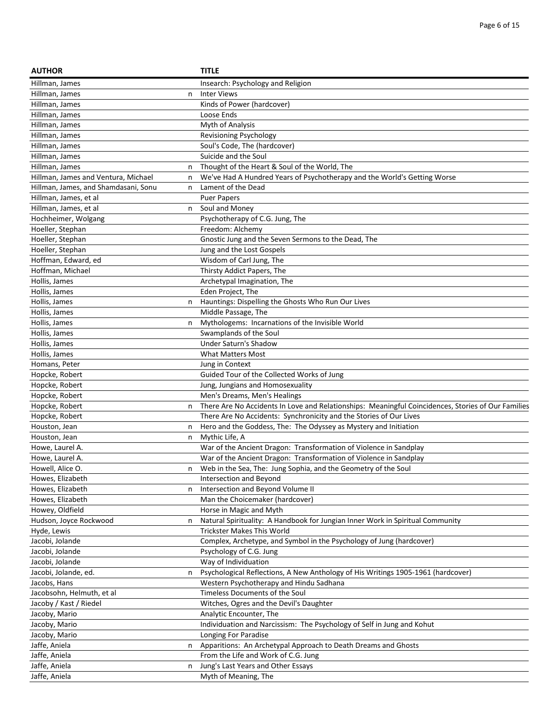| <b>AUTHOR</b>                        |   | <b>TITLE</b>                                                                                       |
|--------------------------------------|---|----------------------------------------------------------------------------------------------------|
| Hillman, James                       |   | Insearch: Psychology and Religion                                                                  |
| Hillman, James                       | n | <b>Inter Views</b>                                                                                 |
| Hillman, James                       |   | Kinds of Power (hardcover)                                                                         |
| Hillman, James                       |   | Loose Ends                                                                                         |
| Hillman, James                       |   | Myth of Analysis                                                                                   |
| Hillman, James                       |   | <b>Revisioning Psychology</b>                                                                      |
| Hillman, James                       |   | Soul's Code, The (hardcover)                                                                       |
| Hillman, James                       |   | Suicide and the Soul                                                                               |
| Hillman, James                       | n | Thought of the Heart & Soul of the World, The                                                      |
| Hillman, James and Ventura, Michael  | n | We've Had A Hundred Years of Psychotherapy and the World's Getting Worse                           |
| Hillman, James, and Shamdasani, Sonu | n | Lament of the Dead                                                                                 |
| Hillman, James, et al                |   | <b>Puer Papers</b>                                                                                 |
| Hillman, James, et al                | n | Soul and Money                                                                                     |
| Hochheimer, Wolgang                  |   | Psychotherapy of C.G. Jung, The                                                                    |
| Hoeller, Stephan                     |   | Freedom: Alchemy                                                                                   |
| Hoeller, Stephan                     |   | Gnostic Jung and the Seven Sermons to the Dead, The                                                |
| Hoeller, Stephan                     |   | Jung and the Lost Gospels                                                                          |
| Hoffman, Edward, ed                  |   | Wisdom of Carl Jung, The                                                                           |
| Hoffman, Michael                     |   | Thirsty Addict Papers, The                                                                         |
| Hollis, James                        |   |                                                                                                    |
|                                      |   | Archetypal Imagination, The                                                                        |
| Hollis, James                        |   | Eden Project, The                                                                                  |
| Hollis, James                        | n | Hauntings: Dispelling the Ghosts Who Run Our Lives                                                 |
| Hollis, James                        |   | Middle Passage, The                                                                                |
| Hollis, James                        | n | Mythologems: Incarnations of the Invisible World                                                   |
| Hollis, James                        |   | Swamplands of the Soul                                                                             |
| Hollis, James                        |   | Under Saturn's Shadow                                                                              |
| Hollis, James                        |   | What Matters Most                                                                                  |
| Homans, Peter                        |   | Jung in Context                                                                                    |
| Hopcke, Robert                       |   | Guided Tour of the Collected Works of Jung                                                         |
| Hopcke, Robert                       |   | Jung, Jungians and Homosexuality                                                                   |
| Hopcke, Robert                       |   | Men's Dreams, Men's Healings                                                                       |
| Hopcke, Robert                       | n | There Are No Accidents In Love and Relationships: Meaningful Coincidences, Stories of Our Families |
| Hopcke, Robert                       |   | There Are No Accidents: Synchronicity and the Stories of Our Lives                                 |
| Houston, Jean                        | n | Hero and the Goddess, The: The Odyssey as Mystery and Initiation                                   |
| Houston, Jean                        | n | Mythic Life, A                                                                                     |
| Howe, Laurel A.                      |   | War of the Ancient Dragon: Transformation of Violence in Sandplay                                  |
| Howe, Laurel A.                      |   | War of the Ancient Dragon: Transformation of Violence in Sandplay                                  |
| Howell, Alice O.                     | n | Web in the Sea, The: Jung Sophia, and the Geometry of the Soul                                     |
| Howes, Elizabeth                     |   | Intersection and Beyond                                                                            |
| Howes, Elizabeth                     | n | Intersection and Beyond Volume II                                                                  |
| Howes, Elizabeth                     |   | Man the Choicemaker (hardcover)                                                                    |
| Howey, Oldfield                      |   | Horse in Magic and Myth                                                                            |
| Hudson, Joyce Rockwood               | n | Natural Spirituality: A Handbook for Jungian Inner Work in Spiritual Community                     |
| Hyde, Lewis                          |   | <b>Trickster Makes This World</b>                                                                  |
| Jacobi, Jolande                      |   | Complex, Archetype, and Symbol in the Psychology of Jung (hardcover)                               |
| Jacobi, Jolande                      |   | Psychology of C.G. Jung                                                                            |
| Jacobi, Jolande                      |   | Way of Individuation                                                                               |
| Jacobi, Jolande, ed.                 | n | Psychological Reflections, A New Anthology of His Writings 1905-1961 (hardcover)                   |
| Jacobs, Hans                         |   | Western Psychotherapy and Hindu Sadhana                                                            |
| Jacobsohn, Helmuth, et al            |   | Timeless Documents of the Soul                                                                     |
| Jacoby / Kast / Riedel               |   | Witches, Ogres and the Devil's Daughter                                                            |
| Jacoby, Mario                        |   | Analytic Encounter, The                                                                            |
| Jacoby, Mario                        |   | Individuation and Narcissism: The Psychology of Self in Jung and Kohut                             |
| Jacoby, Mario                        |   | Longing For Paradise                                                                               |
| Jaffe, Aniela                        |   | Apparitions: An Archetypal Approach to Death Dreams and Ghosts                                     |
| Jaffe, Aniela                        | n | From the Life and Work of C.G. Jung                                                                |
| Jaffe, Aniela                        | n | Jung's Last Years and Other Essays                                                                 |
| Jaffe, Aniela                        |   | Myth of Meaning, The                                                                               |
|                                      |   |                                                                                                    |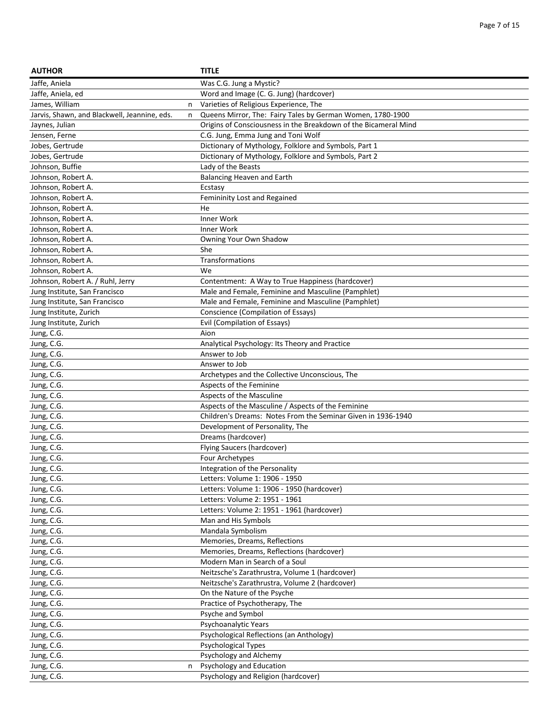| <b>AUTHOR</b>                                |   | <b>TITLE</b>                                                     |
|----------------------------------------------|---|------------------------------------------------------------------|
| Jaffe, Aniela                                |   | Was C.G. Jung a Mystic?                                          |
| Jaffe, Aniela, ed                            |   | Word and Image (C. G. Jung) (hardcover)                          |
| James, William                               | n | Varieties of Religious Experience, The                           |
| Jarvis, Shawn, and Blackwell, Jeannine, eds. | n | Queens Mirror, The: Fairy Tales by German Women, 1780-1900       |
| Jaynes, Julian                               |   | Origins of Consciousness in the Breakdown of the Bicameral Mind  |
| Jensen, Ferne                                |   | C.G. Jung, Emma Jung and Toni Wolf                               |
| Jobes, Gertrude                              |   | Dictionary of Mythology, Folklore and Symbols, Part 1            |
| Jobes, Gertrude                              |   | Dictionary of Mythology, Folklore and Symbols, Part 2            |
| Johnson, Buffie                              |   | Lady of the Beasts                                               |
| Johnson, Robert A.                           |   | Balancing Heaven and Earth                                       |
| Johnson, Robert A.                           |   | Ecstasy                                                          |
| Johnson, Robert A.                           |   | Femininity Lost and Regained                                     |
| Johnson, Robert A.                           |   | He                                                               |
| Johnson, Robert A.                           |   | Inner Work                                                       |
| Johnson, Robert A.                           |   | Inner Work                                                       |
| Johnson, Robert A.                           |   | Owning Your Own Shadow                                           |
| Johnson, Robert A.                           |   | She                                                              |
| Johnson, Robert A.                           |   | Transformations                                                  |
| Johnson, Robert A.                           |   | We                                                               |
| Johnson, Robert A. / Ruhl, Jerry             |   | Contentment: A Way to True Happiness (hardcover)                 |
| Jung Institute, San Francisco                |   | Male and Female, Feminine and Masculine (Pamphlet)               |
| Jung Institute, San Francisco                |   | Male and Female, Feminine and Masculine (Pamphlet)               |
| Jung Institute, Zurich                       |   | Conscience (Compilation of Essays)                               |
| Jung Institute, Zurich                       |   | Evil (Compilation of Essays)                                     |
| Jung, C.G.                                   |   | Aion                                                             |
| Jung, C.G.                                   |   | Analytical Psychology: Its Theory and Practice                   |
| Jung, C.G.                                   |   | Answer to Job                                                    |
| Jung, C.G.                                   |   | Answer to Job                                                    |
| Jung, C.G.                                   |   | Archetypes and the Collective Unconscious, The                   |
| Jung, C.G.                                   |   | Aspects of the Feminine                                          |
| Jung, C.G.                                   |   | Aspects of the Masculine                                         |
| Jung, C.G.                                   |   | Aspects of the Masculine / Aspects of the Feminine               |
| Jung, C.G.                                   |   | Children's Dreams: Notes From the Seminar Given in 1936-1940     |
| Jung, C.G.                                   |   | Development of Personality, The                                  |
| Jung, C.G.                                   |   | Dreams (hardcover)                                               |
| Jung, C.G.                                   |   | Flying Saucers (hardcover)                                       |
| Jung, C.G.                                   |   | Four Archetypes                                                  |
| Jung, C.G.<br>Jung, C.G.                     |   | Integration of the Personality<br>Letters: Volume 1: 1906 - 1950 |
| Jung, C.G.                                   |   | Letters: Volume 1: 1906 - 1950 (hardcover)                       |
| Jung, C.G.                                   |   | Letters: Volume 2: 1951 - 1961                                   |
| Jung, C.G.                                   |   | Letters: Volume 2: 1951 - 1961 (hardcover)                       |
| Jung, C.G.                                   |   | Man and His Symbols                                              |
| Jung, C.G.                                   |   | Mandala Symbolism                                                |
| Jung, C.G.                                   |   | Memories, Dreams, Reflections                                    |
| Jung, C.G.                                   |   | Memories, Dreams, Reflections (hardcover)                        |
| Jung, C.G.                                   |   | Modern Man in Search of a Soul                                   |
| Jung, C.G.                                   |   | Neitzsche's Zarathrustra, Volume 1 (hardcover)                   |
| Jung, C.G.                                   |   | Neitzsche's Zarathrustra, Volume 2 (hardcover)                   |
| Jung, C.G.                                   |   | On the Nature of the Psyche                                      |
| Jung, C.G.                                   |   | Practice of Psychotherapy, The                                   |
| Jung, C.G.                                   |   | Psyche and Symbol                                                |
| Jung, C.G.                                   |   | Psychoanalytic Years                                             |
| Jung, C.G.                                   |   | Psychological Reflections (an Anthology)                         |
| Jung, C.G.                                   |   | Psychological Types                                              |
| Jung, C.G.                                   |   | Psychology and Alchemy                                           |
| Jung, C.G.                                   | n | Psychology and Education                                         |
| Jung, C.G.                                   |   | Psychology and Religion (hardcover)                              |
|                                              |   |                                                                  |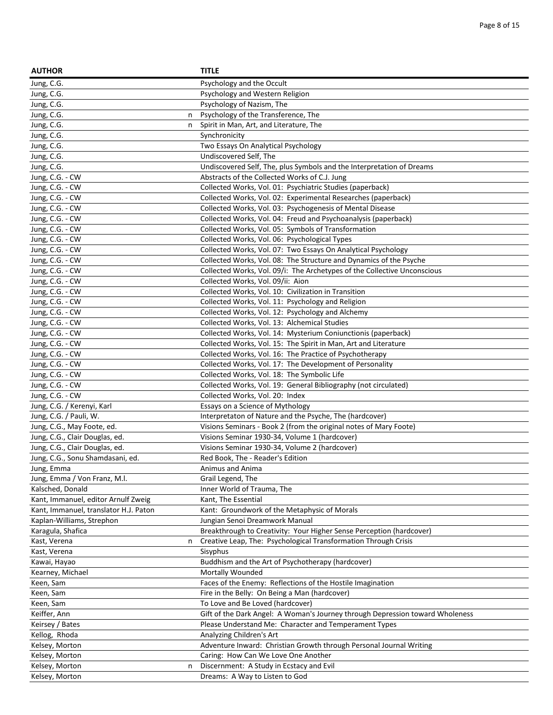| <b>AUTHOR</b>                         | <b>TITLE</b>                                                                                       |
|---------------------------------------|----------------------------------------------------------------------------------------------------|
| Jung, C.G.                            | Psychology and the Occult                                                                          |
| Jung, C.G.                            | Psychology and Western Religion                                                                    |
| Jung, C.G.                            | Psychology of Nazism, The                                                                          |
| Jung, C.G.<br>n                       | Psychology of the Transference, The                                                                |
| Jung, C.G.<br>n                       | Spirit in Man, Art, and Literature, The                                                            |
| Jung, C.G.                            | Synchronicity                                                                                      |
| Jung, C.G.                            | Two Essays On Analytical Psychology                                                                |
| Jung, C.G.                            | Undiscovered Self, The                                                                             |
| Jung, C.G.                            | Undiscovered Self, The, plus Symbols and the Interpretation of Dreams                              |
| Jung, C.G. - CW                       | Abstracts of the Collected Works of C.J. Jung                                                      |
| Jung, C.G. - CW                       | Collected Works, Vol. 01: Psychiatric Studies (paperback)                                          |
| Jung, C.G. - CW                       | Collected Works, Vol. 02: Experimental Researches (paperback)                                      |
| Jung, C.G. - CW                       | Collected Works, Vol. 03: Psychogenesis of Mental Disease                                          |
| Jung, C.G. - CW                       | Collected Works, Vol. 04: Freud and Psychoanalysis (paperback)                                     |
| Jung, C.G. - CW                       | Collected Works, Vol. 05: Symbols of Transformation                                                |
| Jung, C.G. - CW                       | Collected Works, Vol. 06: Psychological Types                                                      |
| Jung, C.G. - CW                       | Collected Works, Vol. 07: Two Essays On Analytical Psychology                                      |
| Jung, C.G. - CW                       | Collected Works, Vol. 08: The Structure and Dynamics of the Psyche                                 |
| Jung, C.G. - CW                       | Collected Works, Vol. 09/i: The Archetypes of the Collective Unconscious                           |
| Jung, C.G. - CW                       | Collected Works, Vol. 09/ii: Aion                                                                  |
| Jung, C.G. - CW                       | Collected Works, Vol. 10: Civilization in Transition                                               |
| Jung, C.G. - CW                       | Collected Works, Vol. 11: Psychology and Religion                                                  |
| Jung, C.G. - CW                       | Collected Works, Vol. 12: Psychology and Alchemy                                                   |
| Jung, C.G. - CW                       | Collected Works, Vol. 13: Alchemical Studies                                                       |
| Jung, C.G. - CW                       | Collected Works, Vol. 14: Mysterium Coniunctionis (paperback)                                      |
| Jung, C.G. - CW                       | Collected Works, Vol. 15: The Spirit in Man, Art and Literature                                    |
| Jung, C.G. - CW                       | Collected Works, Vol. 16: The Practice of Psychotherapy                                            |
|                                       | Collected Works, Vol. 17: The Development of Personality                                           |
| Jung, C.G. - CW                       | Collected Works, Vol. 18: The Symbolic Life                                                        |
| Jung, C.G. - CW                       |                                                                                                    |
| Jung, C.G. - CW<br>Jung, C.G. - CW    | Collected Works, Vol. 19: General Bibliography (not circulated)<br>Collected Works, Vol. 20: Index |
|                                       |                                                                                                    |
| Jung, C.G. / Kerenyi, Karl            | Essays on a Science of Mythology                                                                   |
| Jung, C.G. / Pauli, W.                | Interpretaton of Nature and the Psyche, The (hardcover)                                            |
| Jung, C.G., May Foote, ed.            | Visions Seminars - Book 2 (from the original notes of Mary Foote)                                  |
| Jung, C.G., Clair Douglas, ed.        | Visions Seminar 1930-34, Volume 1 (hardcover)                                                      |
| Jung, C.G., Clair Douglas, ed.        | Visions Seminar 1930-34, Volume 2 (hardcover)                                                      |
| Jung, C.G., Sonu Shamdasani, ed.      | Red Book, The - Reader's Edition                                                                   |
| Jung, Emma                            | Animus and Anima                                                                                   |
| Jung, Emma / Von Franz, M.l.          | Grail Legend, The                                                                                  |
| Kalsched, Donald                      | Inner World of Trauma, The                                                                         |
| Kant, Immanuel, editor Arnulf Zweig   | Kant, The Essential                                                                                |
| Kant, Immanuel, translator H.J. Paton | Kant: Groundwork of the Metaphysic of Morals                                                       |
| Kaplan-Williams, Strephon             | Jungian Senoi Dreamwork Manual                                                                     |
| Karagula, Shafica                     | Breakthrough to Creativity: Your Higher Sense Perception (hardcover)                               |
| Kast, Verena<br>n                     | Creative Leap, The: Psychological Transformation Through Crisis                                    |
| Kast, Verena                          | Sisyphus                                                                                           |
| Kawai, Hayao                          | Buddhism and the Art of Psychotherapy (hardcover)                                                  |
| Kearney, Michael                      | Mortally Wounded                                                                                   |
| Keen, Sam                             | Faces of the Enemy: Reflections of the Hostile Imagination                                         |
| Keen, Sam                             | Fire in the Belly: On Being a Man (hardcover)                                                      |
| Keen, Sam                             | To Love and Be Loved (hardcover)                                                                   |
| Keiffer, Ann                          | Gift of the Dark Angel: A Woman's Journey through Depression toward Wholeness                      |
| Keirsey / Bates                       | Please Understand Me: Character and Temperament Types                                              |
| Kellog, Rhoda                         | Analyzing Children's Art                                                                           |
| Kelsey, Morton                        | Adventure Inward: Christian Growth through Personal Journal Writing                                |
| Kelsey, Morton                        | Caring: How Can We Love One Another                                                                |
| Kelsey, Morton<br>n                   | Discernment: A Study in Ecstacy and Evil                                                           |
| Kelsey, Morton                        | Dreams: A Way to Listen to God                                                                     |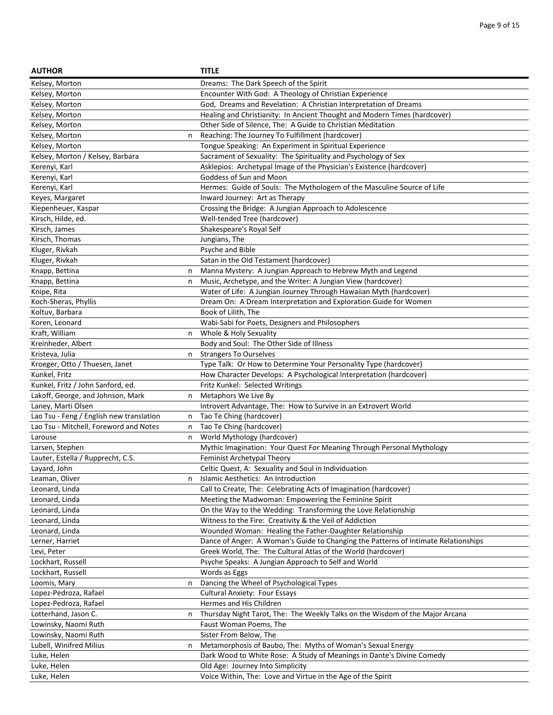| <b>AUTHOR</b>                                 | <b>TITLE</b>                                                                       |
|-----------------------------------------------|------------------------------------------------------------------------------------|
| Kelsey, Morton                                | Dreams: The Dark Speech of the Spirit                                              |
| Kelsey, Morton                                | Encounter With God: A Theology of Christian Experience                             |
| Kelsey, Morton                                | God, Dreams and Revelation: A Christian Interpretation of Dreams                   |
| Kelsey, Morton                                | Healing and Christianity: In Ancient Thought and Modern Times (hardcover)          |
| Kelsey, Morton                                | Other Side of Silence, The: A Guide to Christian Meditation                        |
| Kelsey, Morton<br>n                           | Reaching: The Journey To Fulfillment (hardcover)                                   |
| Kelsey, Morton                                | Tongue Speaking: An Experiment in Spiritual Experience                             |
| Kelsey, Morton / Kelsey, Barbara              | Sacrament of Sexuality: The Spirituality and Psychology of Sex                     |
| Kerenyi, Karl                                 | Asklepios: Archetypal Image of the Physician's Existence (hardcover)               |
| Kerenyi, Karl                                 | Goddess of Sun and Moon                                                            |
| Kerenyi, Karl                                 | Hermes: Guide of Souls: The Mythologem of the Masculine Source of Life             |
| Keyes, Margaret                               | Inward Journey: Art as Therapy                                                     |
| Kiepenheuer, Kaspar                           | Crossing the Bridge: A Jungian Approach to Adolescence                             |
| Kirsch, Hilde, ed.                            | Well-tended Tree (hardcover)                                                       |
| Kirsch, James                                 | Shakespeare's Royal Self                                                           |
| Kirsch, Thomas                                | Jungians, The                                                                      |
| Kluger, Rivkah                                | Psyche and Bible                                                                   |
| Kluger, Rivkah                                | Satan in the Old Testament (hardcover)                                             |
| Knapp, Bettina<br>n                           | Manna Mystery: A Jungian Approach to Hebrew Myth and Legend                        |
| Knapp, Bettina<br>n                           | Music, Archetype, and the Writer: A Jungian View (hardcover)                       |
| Knipe, Rita                                   | Water of Life: A Jungian Journey Through Hawaiian Myth (hardcover)                 |
| Koch-Sheras, Phyllis                          | Dream On: A Dream Interpretation and Exploration Guide for Women                   |
| Koltuv, Barbara                               | Book of Lilith, The                                                                |
| Koren, Leonard                                | Wabi-Sabi for Poets, Designers and Philosophers                                    |
| Kraft, William<br>n                           | Whole & Holy Sexuality                                                             |
| Kreinheder, Albert                            | Body and Soul: The Other Side of Illness                                           |
| Kristeva, Julia<br>n                          | <b>Strangers To Ourselves</b>                                                      |
| Kroeger, Otto / Thuesen, Janet                | Type Talk: Or How to Determine Your Personality Type (hardcover)                   |
| Kunkel, Fritz                                 | How Character Develops: A Psychological Interpretation (hardcover)                 |
| Kunkel, Fritz / John Sanford, ed.             | Fritz Kunkel: Selected Writings                                                    |
| Lakoff, George, and Johnson, Mark<br>n        | Metaphors We Live By                                                               |
| Laney, Marti Olsen                            | Introvert Advantage, The: How to Survive in an Extrovert World                     |
| Lao Tsu - Feng / English new translation<br>n | Tao Te Ching (hardcover)                                                           |
| Lao Tsu - Mitchell, Foreword and Notes<br>n   | Tao Te Ching (hardcover)                                                           |
| Larouse<br>n                                  | World Mythology (hardcover)                                                        |
| Larsen, Stephen                               | Mythic Imagination: Your Quest For Meaning Through Personal Mythology              |
| Lauter, Estella / Rupprecht, C.S.             | Feminist Archetypal Theory                                                         |
| Layard, John                                  | Celtic Quest, A: Sexuality and Soul in Individuation                               |
| Leaman, Oliver<br>n                           | Islamic Aesthetics: An Introduction                                                |
| Leonard, Linda                                | Call to Create, The: Celebrating Acts of Imagination (hardcover)                   |
| Leonard, Linda                                | Meeting the Madwoman: Empowering the Feminine Spirit                               |
| Leonard, Linda                                | On the Way to the Wedding: Transforming the Love Relationship                      |
| Leonard, Linda                                | Witness to the Fire: Creativity & the Veil of Addiction                            |
| Leonard, Linda                                | Wounded Woman: Healing the Father-Daughter Relationship                            |
| Lerner, Harriet                               | Dance of Anger: A Woman's Guide to Changing the Patterns of Intimate Relationships |
| Levi, Peter                                   | Greek World, The: The Cultural Atlas of the World (hardcover)                      |
| Lockhart, Russell                             | Psyche Speaks: A Jungian Approach to Self and World                                |
| Lockhart, Russell                             | Words as Eggs                                                                      |
| Loomis, Mary<br>n                             | Dancing the Wheel of Psychological Types                                           |
| Lopez-Pedroza, Rafael                         | <b>Cultural Anxiety: Four Essays</b>                                               |
| Lopez-Pedroza, Rafael                         | Hermes and His Children                                                            |
| Lotterhand, Jason C.<br>n                     | Thursday Night Tarot, The: The Weekly Talks on the Wisdom of the Major Arcana      |
| Lowinsky, Naomi Ruth                          | Faust Woman Poems, The                                                             |
| Lowinsky, Naomi Ruth                          | Sister From Below, The                                                             |
| Lubell, Winifred Milius<br>n                  | Metamorphosis of Baubo, The: Myths of Woman's Sexual Energy                        |
| Luke, Helen                                   | Dark Wood to White Rose: A Study of Meanings in Dante's Divine Comedy              |
| Luke, Helen                                   | Old Age: Journey Into Simplicity                                                   |
| Luke, Helen                                   | Voice Within, The: Love and Virtue in the Age of the Spirit                        |
|                                               |                                                                                    |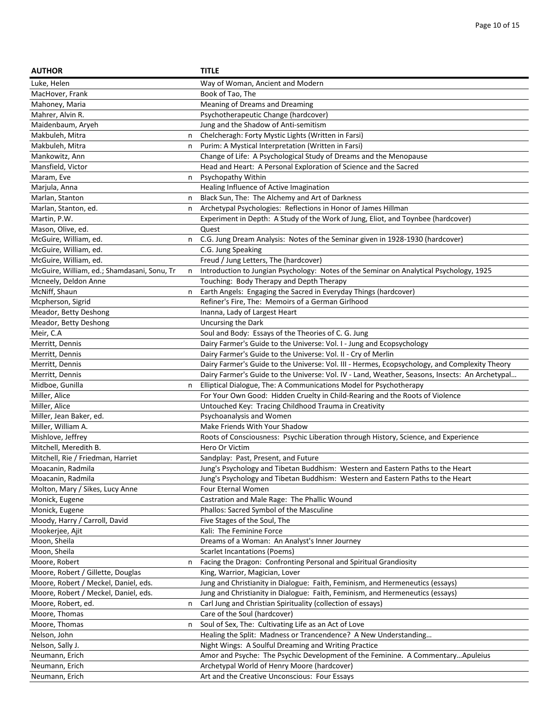| <b>AUTHOR</b>                                                             |   | <b>TITLE</b>                                                                                             |
|---------------------------------------------------------------------------|---|----------------------------------------------------------------------------------------------------------|
| Luke, Helen                                                               |   | Way of Woman, Ancient and Modern                                                                         |
| MacHover, Frank                                                           |   | Book of Tao, The                                                                                         |
| Mahoney, Maria                                                            |   | Meaning of Dreams and Dreaming                                                                           |
| Mahrer, Alvin R.                                                          |   | Psychotherapeutic Change (hardcover)                                                                     |
| Maidenbaum, Aryeh                                                         |   | Jung and the Shadow of Anti-semitism                                                                     |
| Makbuleh, Mitra                                                           | n | Chelcheragh: Forty Mystic Lights (Written in Farsi)                                                      |
| Makbuleh, Mitra                                                           | n | Purim: A Mystical Interpretation (Written in Farsi)                                                      |
| Mankowitz, Ann                                                            |   | Change of Life: A Psychological Study of Dreams and the Menopause                                        |
| Mansfield, Victor                                                         |   | Head and Heart: A Personal Exploration of Science and the Sacred                                         |
| Maram, Eve                                                                | n | Psychopathy Within                                                                                       |
| Marjula, Anna                                                             |   | Healing Influence of Active Imagination                                                                  |
| Marlan, Stanton                                                           | n | Black Sun, The: The Alchemy and Art of Darkness                                                          |
| Marlan, Stanton, ed.                                                      | n | Archetypal Psychologies: Reflections in Honor of James Hillman                                           |
| Martin, P.W.                                                              |   | Experiment in Depth: A Study of the Work of Jung, Eliot, and Toynbee (hardcover)                         |
| Mason, Olive, ed.                                                         |   | Quest                                                                                                    |
| McGuire, William, ed.                                                     | n | C.G. Jung Dream Analysis: Notes of the Seminar given in 1928-1930 (hardcover)                            |
| McGuire, William, ed.                                                     |   | C.G. Jung Speaking                                                                                       |
| McGuire, William, ed.                                                     |   | Freud / Jung Letters, The (hardcover)                                                                    |
| McGuire, William, ed.; Shamdasani, Sonu, Tr                               | n | Introduction to Jungian Psychology: Notes of the Seminar on Analytical Psychology, 1925                  |
| Mcneely, Deldon Anne                                                      |   | Touching: Body Therapy and Depth Therapy                                                                 |
| McNiff, Shaun                                                             | n | Earth Angels: Engaging the Sacred in Everyday Things (hardcover)                                         |
| Mcpherson, Sigrid                                                         |   | Refiner's Fire, The: Memoirs of a German Girlhood                                                        |
| Meador, Betty Deshong                                                     |   | Inanna, Lady of Largest Heart                                                                            |
| Meador, Betty Deshong                                                     |   | Uncursing the Dark                                                                                       |
| Meir, C.A                                                                 |   | Soul and Body: Essays of the Theories of C. G. Jung                                                      |
| Merritt, Dennis                                                           |   | Dairy Farmer's Guide to the Universe: Vol. I - Jung and Ecopsychology                                    |
| Merritt, Dennis                                                           |   | Dairy Farmer's Guide to the Universe: Vol. II - Cry of Merlin                                            |
| Merritt, Dennis                                                           |   | Dairy Farmer's Guide to the Universe: Vol. III - Hermes, Ecopsychology, and Complexity Theory            |
| Merritt, Dennis                                                           |   | Dairy Farmer's Guide to the Universe: Vol. IV - Land, Weather, Seasons, Insects: An Archetypal           |
| Midboe, Gunilla                                                           | n | Elliptical Dialogue, The: A Communications Model for Psychotherapy                                       |
| Miller, Alice                                                             |   | For Your Own Good: Hidden Cruelty in Child-Rearing and the Roots of Violence                             |
| Miller, Alice                                                             |   | Untouched Key: Tracing Childhood Trauma in Creativity                                                    |
| Miller, Jean Baker, ed.                                                   |   | Psychoanalysis and Women                                                                                 |
| Miller, William A.                                                        |   | Make Friends With Your Shadow                                                                            |
| Mishlove, Jeffrey                                                         |   | Roots of Consciousness: Psychic Liberation through History, Science, and Experience                      |
| Mitchell, Meredith B.                                                     |   | Hero Or Victim                                                                                           |
| Mitchell, Rie / Friedman, Harriet                                         |   | Sandplay: Past, Present, and Future                                                                      |
| Moacanin, Radmila                                                         |   | Jung's Psychology and Tibetan Buddhism: Western and Eastern Paths to the Heart                           |
| Moacanin, Radmila                                                         |   | Jung's Psychology and Tibetan Buddhism: Western and Eastern Paths to the Heart                           |
| Molton, Mary / Sikes, Lucy Anne                                           |   | Four Eternal Women                                                                                       |
| Monick, Eugene                                                            |   | Castration and Male Rage: The Phallic Wound                                                              |
| Monick, Eugene                                                            |   | Phallos: Sacred Symbol of the Masculine                                                                  |
| Moody, Harry / Carroll, David                                             |   | Five Stages of the Soul, The                                                                             |
| Mookerjee, Ajit<br>Moon, Sheila                                           |   | Kali: The Feminine Force                                                                                 |
|                                                                           |   | Dreams of a Woman: An Analyst's Inner Journey                                                            |
| Moon, Sheila<br>Moore, Robert                                             |   | <b>Scarlet Incantations (Poems)</b><br>Facing the Dragon: Confronting Personal and Spiritual Grandiosity |
|                                                                           | n | King, Warrior, Magician, Lover                                                                           |
| Moore, Robert / Gillette, Douglas<br>Moore, Robert / Meckel, Daniel, eds. |   | Jung and Christianity in Dialogue: Faith, Feminism, and Hermeneutics (essays)                            |
| Moore, Robert / Meckel, Daniel, eds.                                      |   | Jung and Christianity in Dialogue: Faith, Feminism, and Hermeneutics (essays)                            |
| Moore, Robert, ed.                                                        | n | Carl Jung and Christian Spirituality (collection of essays)                                              |
| Moore, Thomas                                                             |   | Care of the Soul (hardcover)                                                                             |
| Moore, Thomas                                                             | n | Soul of Sex, The: Cultivating Life as an Act of Love                                                     |
| Nelson, John                                                              |   | Healing the Split: Madness or Trancendence? A New Understanding                                          |
| Nelson, Sally J.                                                          |   | Night Wings: A Soulful Dreaming and Writing Practice                                                     |
| Neumann, Erich                                                            |   | Amor and Psyche: The Psychic Development of the Feminine. A CommentaryApuleius                           |
| Neumann, Erich                                                            |   | Archetypal World of Henry Moore (hardcover)                                                              |
| Neumann, Erich                                                            |   | Art and the Creative Unconscious: Four Essays                                                            |
|                                                                           |   |                                                                                                          |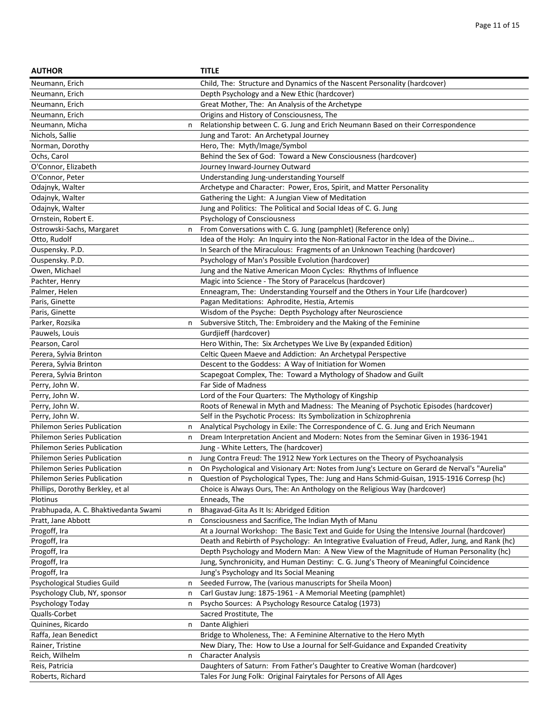| <b>AUTHOR</b>                                        |   | <b>TITLE</b>                                                                                                                  |
|------------------------------------------------------|---|-------------------------------------------------------------------------------------------------------------------------------|
| Neumann, Erich                                       |   | Child, The: Structure and Dynamics of the Nascent Personality (hardcover)                                                     |
| Neumann, Erich                                       |   | Depth Psychology and a New Ethic (hardcover)                                                                                  |
| Neumann, Erich                                       |   | Great Mother, The: An Analysis of the Archetype                                                                               |
| Neumann, Erich                                       |   | Origins and History of Consciousness, The                                                                                     |
| Neumann, Micha                                       | n | Relationship between C. G. Jung and Erich Neumann Based on their Correspondence                                               |
| Nichols, Sallie                                      |   | Jung and Tarot: An Archetypal Journey                                                                                         |
| Norman, Dorothy                                      |   | Hero, The: Myth/Image/Symbol                                                                                                  |
| Ochs, Carol                                          |   | Behind the Sex of God: Toward a New Consciousness (hardcover)                                                                 |
| O'Connor, Elizabeth                                  |   | Journey Inward-Journey Outward                                                                                                |
| O'Connor, Peter                                      |   | Understanding Jung-understanding Yourself                                                                                     |
| Odajnyk, Walter                                      |   | Archetype and Character: Power, Eros, Spirit, and Matter Personality                                                          |
| Odajnyk, Walter                                      |   | Gathering the Light: A Jungian View of Meditation                                                                             |
| Odajnyk, Walter                                      |   | Jung and Politics: The Political and Social Ideas of C. G. Jung                                                               |
| Ornstein, Robert E.                                  |   | Psychology of Consciousness                                                                                                   |
| Ostrowski-Sachs, Margaret                            | n | From Conversations with C. G. Jung (pamphlet) (Reference only)                                                                |
| Otto, Rudolf                                         |   | Idea of the Holy: An Inquiry into the Non-Rational Factor in the Idea of the Divine                                           |
| Ouspensky. P.D.                                      |   | In Search of the Miraculous: Fragments of an Unknown Teaching (hardcover)                                                     |
| Ouspensky. P.D.                                      |   | Psychology of Man's Possible Evolution (hardcover)                                                                            |
| Owen, Michael                                        |   | Jung and the Native American Moon Cycles: Rhythms of Influence                                                                |
| Pachter, Henry                                       |   | Magic into Science - The Story of Paracelcus (hardcover)                                                                      |
| Palmer, Helen                                        |   | Enneagram, The: Understanding Yourself and the Others in Your Life (hardcover)                                                |
| Paris, Ginette                                       |   | Pagan Meditations: Aphrodite, Hestia, Artemis                                                                                 |
| Paris, Ginette                                       |   | Wisdom of the Psyche: Depth Psychology after Neuroscience                                                                     |
| Parker, Rozsika                                      | n | Subversive Stitch, The: Embroidery and the Making of the Feminine                                                             |
| Pauwels, Louis                                       |   | Gurdjieff (hardcover)                                                                                                         |
| Pearson, Carol                                       |   |                                                                                                                               |
| Perera, Sylvia Brinton                               |   | Hero Within, The: Six Archetypes We Live By (expanded Edition)<br>Celtic Queen Maeve and Addiction: An Archetypal Perspective |
|                                                      |   |                                                                                                                               |
| Perera, Sylvia Brinton                               |   | Descent to the Goddess: A Way of Initiation for Women                                                                         |
| Perera, Sylvia Brinton                               |   | Scapegoat Complex, The: Toward a Mythology of Shadow and Guilt<br>Far Side of Madness                                         |
| Perry, John W.                                       |   |                                                                                                                               |
| Perry, John W.                                       |   | Lord of the Four Quarters: The Mythology of Kingship                                                                          |
| Perry, John W.                                       |   | Roots of Renewal in Myth and Madness: The Meaning of Psychotic Episodes (hardcover)                                           |
| Perry, John W.<br><b>Philemon Series Publication</b> |   | Self in the Psychotic Process: Its Symbolization in Schizophrenia                                                             |
|                                                      | n | Analytical Psychology in Exile: The Correspondence of C. G. Jung and Erich Neumann                                            |
| <b>Philemon Series Publication</b>                   | n | Dream Interpretation Ancient and Modern: Notes from the Seminar Given in 1936-1941                                            |
| <b>Philemon Series Publication</b>                   |   | Jung - White Letters, The (hardcover)                                                                                         |
| Philemon Series Publication                          | n | Jung Contra Freud: The 1912 New York Lectures on the Theory of Psychoanalysis                                                 |
| Philemon Series Publication                          | n | On Psychological and Visionary Art: Notes from Jung's Lecture on Gerard de Nerval's "Aurelia"                                 |
| Philemon Series Publication                          | n | Question of Psychological Types, The: Jung and Hans Schmid-Guisan, 1915-1916 Corresp (hc)                                     |
| Phillips, Dorothy Berkley, et al                     |   | Choice is Always Ours, The: An Anthology on the Religious Way (hardcover)                                                     |
| Plotinus                                             |   | Enneads, The                                                                                                                  |
| Prabhupada, A. C. Bhaktivedanta Swami                | n | Bhagavad-Gita As It Is: Abridged Edition                                                                                      |
| Pratt, Jane Abbott                                   | n | Consciousness and Sacrifice, The Indian Myth of Manu                                                                          |
| Progoff, Ira                                         |   | At a Journal Workshop: The Basic Text and Guide for Using the Intensive Journal (hardcover)                                   |
| Progoff, Ira                                         |   | Death and Rebirth of Psychology: An Integrative Evaluation of Freud, Adler, Jung, and Rank (hc)                               |
| Progoff, Ira                                         |   | Depth Psychology and Modern Man: A New View of the Magnitude of Human Personality (hc)                                        |
| Progoff, Ira                                         |   | Jung, Synchronicity, and Human Destiny: C. G. Jung's Theory of Meaningful Coincidence                                         |
| Progoff, Ira                                         |   | Jung's Psychology and Its Social Meaning                                                                                      |
| Psychological Studies Guild                          | n | Seeded Furrow, The (various manuscripts for Sheila Moon)                                                                      |
| Psychology Club, NY, sponsor                         | n | Carl Gustav Jung: 1875-1961 - A Memorial Meeting (pamphlet)                                                                   |
| Psychology Today                                     | n | Psycho Sources: A Psychology Resource Catalog (1973)                                                                          |
| Qualls-Corbet                                        |   | Sacred Prostitute, The                                                                                                        |
| Quinines, Ricardo                                    | n | Dante Alighieri                                                                                                               |
| Raffa, Jean Benedict                                 |   | Bridge to Wholeness, The: A Feminine Alternative to the Hero Myth                                                             |
| Rainer, Tristine                                     |   | New Diary, The: How to Use a Journal for Self-Guidance and Expanded Creativity                                                |
| Reich, Wilhelm                                       | n | <b>Character Analysis</b>                                                                                                     |
| Reis, Patricia                                       |   | Daughters of Saturn: From Father's Daughter to Creative Woman (hardcover)                                                     |
| Roberts, Richard                                     |   | Tales For Jung Folk: Original Fairytales for Persons of All Ages                                                              |
|                                                      |   |                                                                                                                               |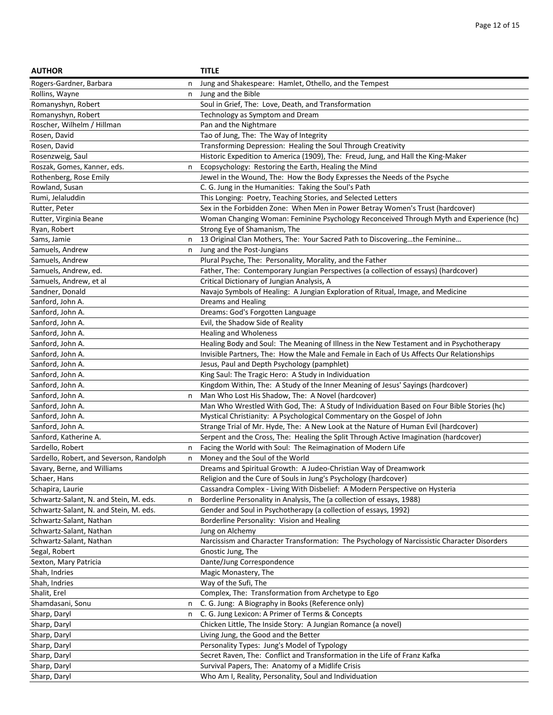| <b>AUTHOR</b>                            |   | <b>TITLE</b>                                                                                |
|------------------------------------------|---|---------------------------------------------------------------------------------------------|
| Rogers-Gardner, Barbara                  |   | Jung and Shakespeare: Hamlet, Othello, and the Tempest                                      |
| Rollins, Wayne                           | n | Jung and the Bible                                                                          |
| Romanyshyn, Robert                       |   | Soul in Grief, The: Love, Death, and Transformation                                         |
| Romanyshyn, Robert                       |   | Technology as Symptom and Dream                                                             |
| Roscher, Wilhelm / Hillman               |   | Pan and the Nightmare                                                                       |
| Rosen, David                             |   | Tao of Jung, The: The Way of Integrity                                                      |
| Rosen, David                             |   | Transforming Depression: Healing the Soul Through Creativity                                |
| Rosenzweig, Saul                         |   | Historic Expedition to America (1909), The: Freud, Jung, and Hall the King-Maker            |
| Roszak, Gomes, Kanner, eds.              | n | Ecopsychology: Restoring the Earth, Healing the Mind                                        |
| Rothenberg, Rose Emily                   |   | Jewel in the Wound, The: How the Body Expresses the Needs of the Psyche                     |
| Rowland, Susan                           |   | C. G. Jung in the Humanities: Taking the Soul's Path                                        |
| Rumi, Jelaluddin                         |   | This Longing: Poetry, Teaching Stories, and Selected Letters                                |
| Rutter, Peter                            |   | Sex in the Forbidden Zone: When Men in Power Betray Women's Trust (hardcover)               |
| Rutter, Virginia Beane                   |   | Woman Changing Woman: Feminine Psychology Reconceived Through Myth and Experience (hc)      |
| Ryan, Robert                             |   | Strong Eye of Shamanism, The                                                                |
| Sams, Jamie                              | n | 13 Original Clan Mothers, The: Your Sacred Path to Discoveringthe Feminine                  |
| Samuels, Andrew                          | n | Jung and the Post-Jungians                                                                  |
| Samuels, Andrew                          |   | Plural Psyche, The: Personality, Morality, and the Father                                   |
| Samuels, Andrew, ed.                     |   | Father, The: Contemporary Jungian Perspectives (a collection of essays) (hardcover)         |
| Samuels, Andrew, et al                   |   | Critical Dictionary of Jungian Analysis, A                                                  |
| Sandner, Donald                          |   | Navajo Symbols of Healing: A Jungian Exploration of Ritual, Image, and Medicine             |
| Sanford, John A.                         |   | Dreams and Healing                                                                          |
| Sanford, John A.                         |   | Dreams: God's Forgotten Language                                                            |
| Sanford, John A.                         |   | Evil, the Shadow Side of Reality                                                            |
| Sanford, John A.                         |   | Healing and Wholeness                                                                       |
| Sanford, John A.                         |   | Healing Body and Soul: The Meaning of Illness in the New Testament and in Psychotherapy     |
| Sanford, John A.                         |   | Invisible Partners, The: How the Male and Female in Each of Us Affects Our Relationships    |
| Sanford, John A.                         |   | Jesus, Paul and Depth Psychology (pamphlet)                                                 |
| Sanford, John A.                         |   | King Saul: The Tragic Hero: A Study in Individuation                                        |
| Sanford, John A.                         |   | Kingdom Within, The: A Study of the Inner Meaning of Jesus' Sayings (hardcover)             |
| Sanford, John A.                         | n | Man Who Lost His Shadow, The: A Novel (hardcover)                                           |
| Sanford, John A.                         |   | Man Who Wrestled With God, The: A Study of Individuation Based on Four Bible Stories (hc)   |
| Sanford, John A.                         |   | Mystical Christianity: A Psychological Commentary on the Gospel of John                     |
| Sanford, John A.                         |   | Strange Trial of Mr. Hyde, The: A New Look at the Nature of Human Evil (hardcover)          |
| Sanford, Katherine A.                    |   | Serpent and the Cross, The: Healing the Split Through Active Imagination (hardcover)        |
| Sardello, Robert                         | n | Facing the World with Soul: The Reimagination of Modern Life                                |
| Sardello, Robert, and Severson, Randolph | n | Money and the Soul of the World                                                             |
| Savary, Berne, and Williams              |   | Dreams and Spiritual Growth: A Judeo-Christian Way of Dreamwork                             |
| Schaer, Hans                             |   | Religion and the Cure of Souls in Jung's Psychology (hardcover)                             |
| Schapira, Laurie                         |   | Cassandra Complex - Living With Disbelief: A Modern Perspective on Hysteria                 |
| Schwartz-Salant, N. and Stein, M. eds.   | n | Borderline Personality in Analysis, The (a collection of essays, 1988)                      |
| Schwartz-Salant, N. and Stein, M. eds.   |   | Gender and Soul in Psychotherapy (a collection of essays, 1992)                             |
| Schwartz-Salant, Nathan                  |   | Borderline Personality: Vision and Healing                                                  |
| Schwartz-Salant, Nathan                  |   | Jung on Alchemy                                                                             |
| Schwartz-Salant, Nathan                  |   | Narcissism and Character Transformation: The Psychology of Narcissistic Character Disorders |
| Segal, Robert                            |   | Gnostic Jung, The                                                                           |
| Sexton, Mary Patricia                    |   | Dante/Jung Correspondence                                                                   |
| Shah, Indries                            |   | Magic Monastery, The                                                                        |
| Shah, Indries                            |   | Way of the Sufi, The                                                                        |
| Shalit, Erel                             |   | Complex, The: Transformation from Archetype to Ego                                          |
| Shamdasani, Sonu                         |   |                                                                                             |
|                                          | n | C. G. Jung: A Biography in Books (Reference only)                                           |
| Sharp, Daryl                             | n | C. G. Jung Lexicon: A Primer of Terms & Concepts                                            |
| Sharp, Daryl                             |   | Chicken Little, The Inside Story: A Jungian Romance (a novel)                               |
| Sharp, Daryl                             |   | Living Jung, the Good and the Better                                                        |
| Sharp, Daryl                             |   | Personality Types: Jung's Model of Typology                                                 |
| Sharp, Daryl                             |   | Secret Raven, The: Conflict and Transformation in the Life of Franz Kafka                   |
| Sharp, Daryl                             |   | Survival Papers, The: Anatomy of a Midlife Crisis                                           |
| Sharp, Daryl                             |   | Who Am I, Reality, Personality, Soul and Individuation                                      |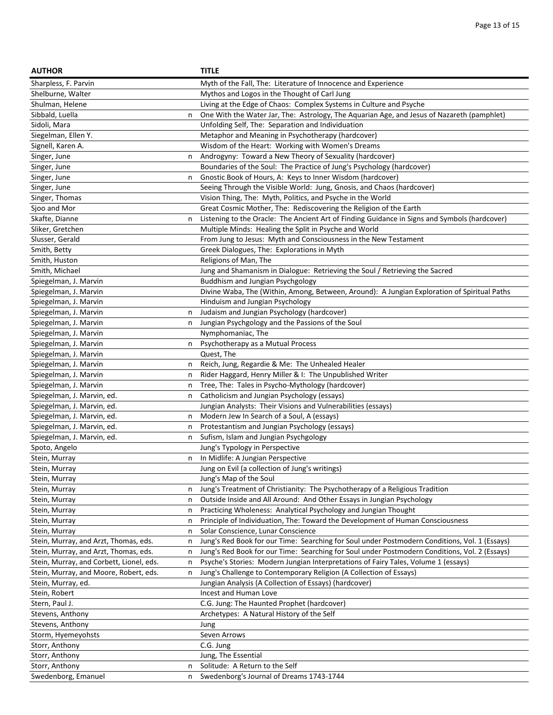| <b>AUTHOR</b>                                 | <b>TITLE</b>                                                                                  |
|-----------------------------------------------|-----------------------------------------------------------------------------------------------|
| Sharpless, F. Parvin                          | Myth of the Fall, The: Literature of Innocence and Experience                                 |
| Shelburne, Walter                             | Mythos and Logos in the Thought of Carl Jung                                                  |
| Shulman, Helene                               | Living at the Edge of Chaos: Complex Systems in Culture and Psyche                            |
| Sibbald, Luella<br>n                          | One With the Water Jar, The: Astrology, The Aquarian Age, and Jesus of Nazareth (pamphlet)    |
| Sidoli, Mara                                  | Unfolding Self, The: Separation and Individuation                                             |
| Siegelman, Ellen Y.                           | Metaphor and Meaning in Psychotherapy (hardcover)                                             |
| Signell, Karen A.                             | Wisdom of the Heart: Working with Women's Dreams                                              |
| Singer, June<br>n                             | Androgyny: Toward a New Theory of Sexuality (hardcover)                                       |
| Singer, June                                  | Boundaries of the Soul: The Practice of Jung's Psychology (hardcover)                         |
| Singer, June<br>n                             | Gnostic Book of Hours, A: Keys to Inner Wisdom (hardcover)                                    |
| Singer, June                                  | Seeing Through the Visible World: Jung, Gnosis, and Chaos (hardcover)                         |
| Singer, Thomas                                | Vision Thing, The: Myth, Politics, and Psyche in the World                                    |
| Sjoo and Mor                                  | Great Cosmic Mother, The: Rediscovering the Religion of the Earth                             |
| Skafte, Dianne<br>n                           | Listening to the Oracle: The Ancient Art of Finding Guidance in Signs and Symbols (hardcover) |
| Sliker, Gretchen                              | Multiple Minds: Healing the Split in Psyche and World                                         |
| Slusser, Gerald                               | From Jung to Jesus: Myth and Consciousness in the New Testament                               |
| Smith, Betty                                  | Greek Dialogues, The: Explorations in Myth                                                    |
| Smith, Huston                                 | Religions of Man, The                                                                         |
| Smith, Michael                                | Jung and Shamanism in Dialogue: Retrieving the Soul / Retrieving the Sacred                   |
| Spiegelman, J. Marvin                         | Buddhism and Jungian Psychgology                                                              |
| Spiegelman, J. Marvin                         | Divine Waba, The (Within, Among, Between, Around): A Jungian Exploration of Spiritual Paths   |
| Spiegelman, J. Marvin                         | Hinduism and Jungian Psychology                                                               |
| Spiegelman, J. Marvin<br>n                    | Judaism and Jungian Psychology (hardcover)                                                    |
| Spiegelman, J. Marvin<br>n                    | Jungian Psychgology and the Passions of the Soul                                              |
| Spiegelman, J. Marvin                         | Nymphomaniac, The                                                                             |
| Spiegelman, J. Marvin<br>n                    | Psychotherapy as a Mutual Process                                                             |
| Spiegelman, J. Marvin                         | Quest, The                                                                                    |
| Spiegelman, J. Marvin<br>n                    | Reich, Jung, Regardie & Me: The Unhealed Healer                                               |
| Spiegelman, J. Marvin<br>n                    | Rider Haggard, Henry Miller & I: The Unpublished Writer                                       |
| Spiegelman, J. Marvin<br>n                    | Tree, The: Tales in Psycho-Mythology (hardcover)                                              |
| Spiegelman, J. Marvin, ed.<br>n               | Catholicism and Jungian Psychology (essays)                                                   |
| Spiegelman, J. Marvin, ed.                    | Jungian Analysts: Their Visions and Vulnerabilities (essays)                                  |
| Spiegelman, J. Marvin, ed.<br>n               | Modern Jew In Search of a Soul, A (essays)                                                    |
| Spiegelman, J. Marvin, ed.<br>n               | Protestantism and Jungian Psychology (essays)                                                 |
| Spiegelman, J. Marvin, ed.<br>n               | Sufism, Islam and Jungian Psychgology                                                         |
| Spoto, Angelo                                 | Jung's Typology in Perspective                                                                |
| Stein, Murray<br>n                            | In Midlife: A Jungian Perspective                                                             |
| Stein, Murray                                 | Jung on Evil (a collection of Jung's writings)                                                |
| Stein, Murray                                 | Jung's Map of the Soul                                                                        |
| Stein, Murray<br>n                            | Jung's Treatment of Christianity: The Psychotherapy of a Religious Tradition                  |
| Stein, Murray<br>n                            | Outside Inside and All Around: And Other Essays in Jungian Psychology                         |
| Stein, Murray<br>n                            | Practicing Wholeness: Analytical Psychology and Jungian Thought                               |
| Stein, Murray<br>n                            | Principle of Individuation, The: Toward the Development of Human Consciousness                |
| Stein, Murray<br>n                            | Solar Conscience, Lunar Conscience                                                            |
| Stein, Murray, and Arzt, Thomas, eds.<br>n    | Jung's Red Book for our Time: Searching for Soul under Postmodern Conditions, Vol. 1 (Essays) |
| Stein, Murray, and Arzt, Thomas, eds.<br>n    | Jung's Red Book for our Time: Searching for Soul under Postmodern Conditions, Vol. 2 (Essays) |
| Stein, Murray, and Corbett, Lionel, eds.<br>n | Psyche's Stories: Modern Jungian Interpretations of Fairy Tales, Volume 1 (essays)            |
| Stein, Murray, and Moore, Robert, eds.<br>n   | Jung's Challenge to Contemporary Religion (A Collection of Essays)                            |
| Stein, Murray, ed.                            | Jungian Analysis (A Collection of Essays) (hardcover)                                         |
| Stein, Robert                                 | Incest and Human Love                                                                         |
| Stern, Paul J.                                | C.G. Jung: The Haunted Prophet (hardcover)                                                    |
| Stevens, Anthony                              | Archetypes: A Natural History of the Self                                                     |
| Stevens, Anthony                              | Jung                                                                                          |
| Storm, Hyemeyohsts                            | Seven Arrows                                                                                  |
| Storr, Anthony                                | C.G. Jung                                                                                     |
| Storr, Anthony                                | Jung, The Essential                                                                           |
| Storr, Anthony<br>n                           | Solitude: A Return to the Self                                                                |
| Swedenborg, Emanuel<br>n                      | Swedenborg's Journal of Dreams 1743-1744                                                      |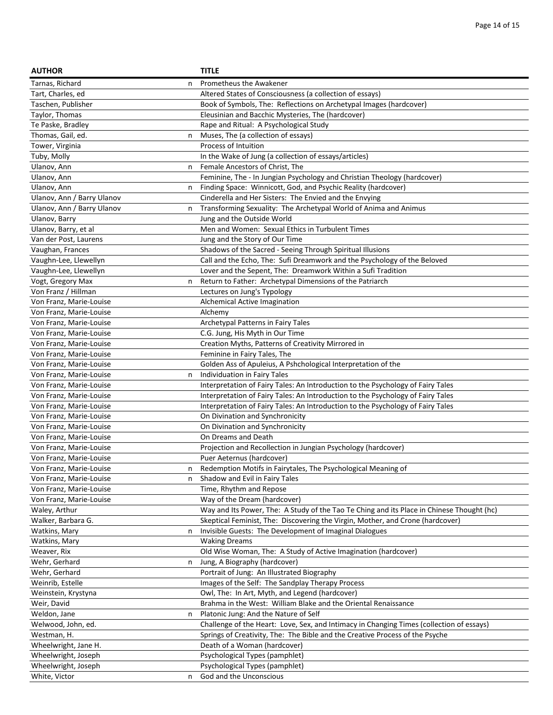| <b>AUTHOR</b>                      |   | <b>TITLE</b>                                                                              |
|------------------------------------|---|-------------------------------------------------------------------------------------------|
| Tarnas, Richard                    | n | Prometheus the Awakener                                                                   |
| Tart, Charles, ed                  |   | Altered States of Consciousness (a collection of essays)                                  |
| Taschen, Publisher                 |   | Book of Symbols, The: Reflections on Archetypal Images (hardcover)                        |
| Taylor, Thomas                     |   | Eleusinian and Bacchic Mysteries, The (hardcover)                                         |
| Te Paske, Bradley                  |   | Rape and Ritual: A Psychological Study                                                    |
| Thomas, Gail, ed.                  | n | Muses, The (a collection of essays)                                                       |
| Tower, Virginia                    |   | Process of Intuition                                                                      |
| Tuby, Molly                        |   | In the Wake of Jung (a collection of essays/articles)                                     |
| Ulanov, Ann                        | n | Female Ancestors of Christ, The                                                           |
| Ulanov, Ann                        |   | Feminine, The - In Jungian Psychology and Christian Theology (hardcover)                  |
| Ulanov, Ann                        | n | Finding Space: Winnicott, God, and Psychic Reality (hardcover)                            |
| Ulanov, Ann / Barry Ulanov         |   | Cinderella and Her Sisters: The Envied and the Envying                                    |
| Ulanov, Ann / Barry Ulanov         | n | Transforming Sexuality: The Archetypal World of Anima and Animus                          |
| Ulanov, Barry                      |   | Jung and the Outside World                                                                |
| Ulanov, Barry, et al               |   | Men and Women: Sexual Ethics in Turbulent Times                                           |
| Van der Post, Laurens              |   | Jung and the Story of Our Time                                                            |
| Vaughan, Frances                   |   | Shadows of the Sacred - Seeing Through Spiritual Illusions                                |
| Vaughn-Lee, Llewellyn              |   | Call and the Echo, The: Sufi Dreamwork and the Psychology of the Beloved                  |
| Vaughn-Lee, Llewellyn              |   | Lover and the Sepent, The: Dreamwork Within a Sufi Tradition                              |
| Vogt, Gregory Max                  | n | Return to Father: Archetypal Dimensions of the Patriarch                                  |
| Von Franz / Hillman                |   | Lectures on Jung's Typology                                                               |
| Von Franz, Marie-Louise            |   | Alchemical Active Imagination                                                             |
| Von Franz, Marie-Louise            |   | Alchemy                                                                                   |
| Von Franz, Marie-Louise            |   | Archetypal Patterns in Fairy Tales                                                        |
| Von Franz, Marie-Louise            |   | C.G. Jung, His Myth in Our Time                                                           |
| Von Franz, Marie-Louise            |   | Creation Myths, Patterns of Creativity Mirrored in                                        |
| Von Franz, Marie-Louise            |   | Feminine in Fairy Tales, The                                                              |
| Von Franz, Marie-Louise            |   | Golden Ass of Apuleius, A Pshchological Interpretation of the                             |
| Von Franz, Marie-Louise            | n | Individuation in Fairy Tales                                                              |
| Von Franz, Marie-Louise            |   | Interpretation of Fairy Tales: An Introduction to the Psychology of Fairy Tales           |
| Von Franz, Marie-Louise            |   | Interpretation of Fairy Tales: An Introduction to the Psychology of Fairy Tales           |
| Von Franz, Marie-Louise            |   | Interpretation of Fairy Tales: An Introduction to the Psychology of Fairy Tales           |
| Von Franz, Marie-Louise            |   | On Divination and Synchronicity                                                           |
| Von Franz, Marie-Louise            |   | On Divination and Synchronicity                                                           |
| Von Franz, Marie-Louise            |   | On Dreams and Death                                                                       |
| Von Franz, Marie-Louise            |   | Projection and Recollection in Jungian Psychology (hardcover)                             |
| Von Franz, Marie-Louise            |   | Puer Aeternus (hardcover)                                                                 |
| Von Franz, Marie-Louise            | n | Redemption Motifs in Fairytales, The Psychological Meaning of                             |
| Von Franz, Marie-Louise            | n | Shadow and Evil in Fairy Tales                                                            |
| Von Franz, Marie-Louise            |   | Time, Rhythm and Repose                                                                   |
| Von Franz, Marie-Louise            |   | Way of the Dream (hardcover)                                                              |
| Waley, Arthur                      |   | Way and Its Power, The: A Study of the Tao Te Ching and its Place in Chinese Thought (hc) |
| Walker, Barbara G.                 |   | Skeptical Feminist, The: Discovering the Virgin, Mother, and Crone (hardcover)            |
| Watkins, Mary                      | n | Invisible Guests: The Development of Imaginal Dialogues                                   |
| Watkins, Mary                      |   | <b>Waking Dreams</b>                                                                      |
| Weaver, Rix                        |   | Old Wise Woman, The: A Study of Active Imagination (hardcover)                            |
| Wehr, Gerhard                      | n | Jung, A Biography (hardcover)                                                             |
| Wehr, Gerhard                      |   | Portrait of Jung: An Illustrated Biography                                                |
| Weinrib, Estelle                   |   | Images of the Self: The Sandplay Therapy Process                                          |
| Weinstein, Krystyna                |   | Owl, The: In Art, Myth, and Legend (hardcover)                                            |
| Weir, David                        |   | Brahma in the West: William Blake and the Oriental Renaissance                            |
|                                    |   | Platonic Jung: And the Nature of Self                                                     |
| Weldon, Jane<br>Welwood, John, ed. | n | Challenge of the Heart: Love, Sex, and Intimacy in Changing Times (collection of essays)  |
|                                    |   |                                                                                           |
| Westman, H.                        |   | Springs of Creativity, The: The Bible and the Creative Process of the Psyche              |
| Wheelwright, Jane H.               |   | Death of a Woman (hardcover)                                                              |
| Wheelwright, Joseph                |   | Psychological Types (pamphlet)                                                            |
| Wheelwright, Joseph                |   | Psychological Types (pamphlet)                                                            |
| White, Victor                      | n | God and the Unconscious                                                                   |